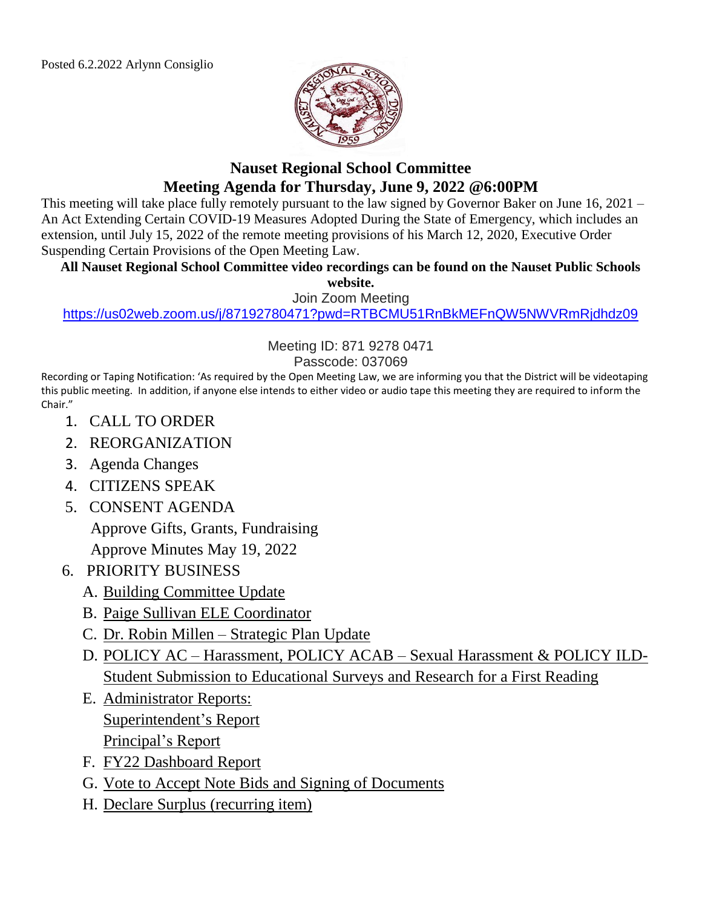

# **Nauset Regional School Committee Meeting Agenda for Thursday, June 9, 2022 @6:00PM**

This meeting will take place fully remotely pursuant to the law signed by Governor Baker on June 16, 2021 – An Act Extending Certain COVID-19 Measures Adopted During the State of Emergency, which includes an extension, until July 15, 2022 of the remote meeting provisions of his March 12, 2020, Executive Order Suspending Certain Provisions of the Open Meeting Law.

#### **All Nauset Regional School Committee video recordings can be found on the Nauset Public Schools**

**website.**

Join Zoom Meeting

<https://us02web.zoom.us/j/87192780471?pwd=RTBCMU51RnBkMEFnQW5NWVRmRjdhdz09>

Meeting ID: 871 9278 0471

#### Passcode: 037069

Recording or Taping Notification: 'As required by the Open Meeting Law, we are informing you that the District will be videotaping this public meeting. In addition, if anyone else intends to either video or audio tape this meeting they are required to inform the Chair."

- 1. CALL TO ORDER
- 2. REORGANIZATION
- 3. Agenda Changes
- 4. CITIZENS SPEAK
- 5. CONSENT AGENDA

Approve Gifts, Grants, Fundraising

Approve Minutes May 19, 2022

- 6. PRIORITY BUSINESS
	- A. Building Committee Update
	- B. Paige Sullivan ELE Coordinator
	- C. Dr. Robin Millen Strategic Plan Update
	- D. POLICY AC Harassment, POLICY ACAB Sexual Harassment & POLICY ILD-Student Submission to Educational Surveys and Research for a First Reading
	- E. Administrator Reports: Superintendent's Report Principal's Report
	- F. FY22 Dashboard Report
	- G. Vote to Accept Note Bids and Signing of Documents
	- H. Declare Surplus (recurring item)